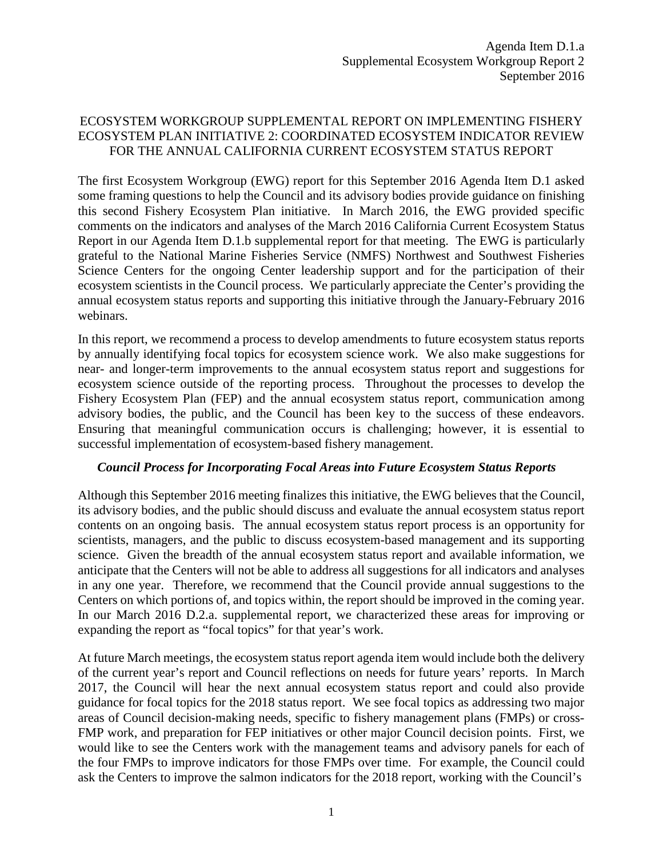# ECOSYSTEM WORKGROUP SUPPLEMENTAL REPORT ON IMPLEMENTING FISHERY ECOSYSTEM PLAN INITIATIVE 2: COORDINATED ECOSYSTEM INDICATOR REVIEW FOR THE ANNUAL CALIFORNIA CURRENT ECOSYSTEM STATUS REPORT

The first Ecosystem Workgroup (EWG) report for this September 2016 Agenda Item D.1 asked some framing questions to help the Council and its advisory bodies provide guidance on finishing this second Fishery Ecosystem Plan initiative. In March 2016, the EWG provided specific comments on the indicators and analyses of the March 2016 California Current Ecosystem Status Report in our Agenda Item D.1.b supplemental report for that meeting. The EWG is particularly grateful to the National Marine Fisheries Service (NMFS) Northwest and Southwest Fisheries Science Centers for the ongoing Center leadership support and for the participation of their ecosystem scientists in the Council process. We particularly appreciate the Center's providing the annual ecosystem status reports and supporting this initiative through the January-February 2016 webinars.

In this report, we recommend a process to develop amendments to future ecosystem status reports by annually identifying focal topics for ecosystem science work. We also make suggestions for near- and longer-term improvements to the annual ecosystem status report and suggestions for ecosystem science outside of the reporting process. Throughout the processes to develop the Fishery Ecosystem Plan (FEP) and the annual ecosystem status report, communication among advisory bodies, the public, and the Council has been key to the success of these endeavors. Ensuring that meaningful communication occurs is challenging; however, it is essential to successful implementation of ecosystem-based fishery management.

#### *Council Process for Incorporating Focal Areas into Future Ecosystem Status Reports*

Although this September 2016 meeting finalizes this initiative, the EWG believes that the Council, its advisory bodies, and the public should discuss and evaluate the annual ecosystem status report contents on an ongoing basis. The annual ecosystem status report process is an opportunity for scientists, managers, and the public to discuss ecosystem-based management and its supporting science. Given the breadth of the annual ecosystem status report and available information, we anticipate that the Centers will not be able to address all suggestions for all indicators and analyses in any one year. Therefore, we recommend that the Council provide annual suggestions to the Centers on which portions of, and topics within, the report should be improved in the coming year. In our March 2016 D.2.a. supplemental report, we characterized these areas for improving or expanding the report as "focal topics" for that year's work.

At future March meetings, the ecosystem status report agenda item would include both the delivery of the current year's report and Council reflections on needs for future years' reports. In March 2017, the Council will hear the next annual ecosystem status report and could also provide guidance for focal topics for the 2018 status report. We see focal topics as addressing two major areas of Council decision-making needs, specific to fishery management plans (FMPs) or cross-FMP work, and preparation for FEP initiatives or other major Council decision points. First, we would like to see the Centers work with the management teams and advisory panels for each of the four FMPs to improve indicators for those FMPs over time. For example, the Council could ask the Centers to improve the salmon indicators for the 2018 report, working with the Council's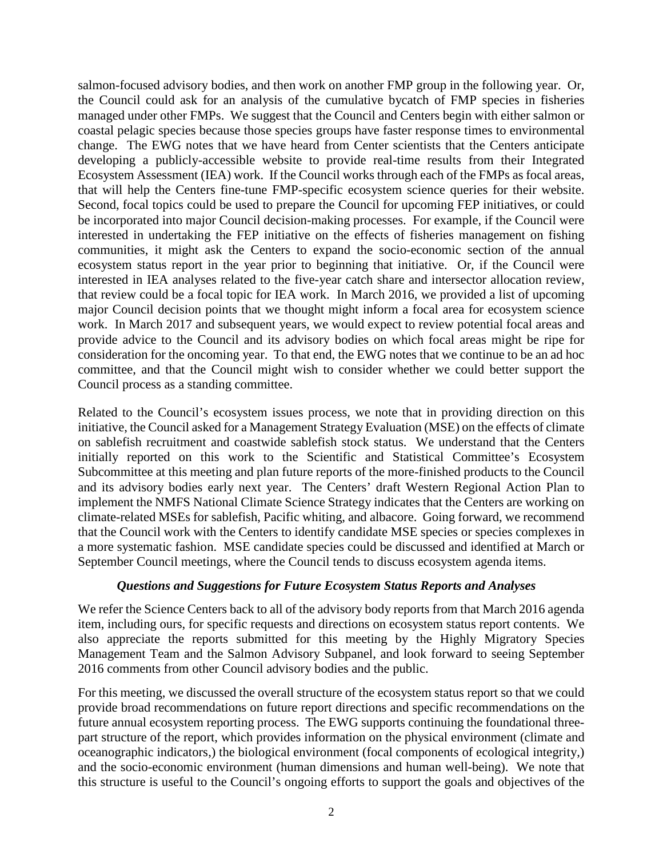salmon-focused advisory bodies, and then work on another FMP group in the following year. Or, the Council could ask for an analysis of the cumulative bycatch of FMP species in fisheries managed under other FMPs. We suggest that the Council and Centers begin with either salmon or coastal pelagic species because those species groups have faster response times to environmental change. The EWG notes that we have heard from Center scientists that the Centers anticipate developing a publicly-accessible website to provide real-time results from their Integrated Ecosystem Assessment (IEA) work. If the Council works through each of the FMPs as focal areas, that will help the Centers fine-tune FMP-specific ecosystem science queries for their website. Second, focal topics could be used to prepare the Council for upcoming FEP initiatives, or could be incorporated into major Council decision-making processes. For example, if the Council were interested in undertaking the FEP initiative on the effects of fisheries management on fishing communities, it might ask the Centers to expand the socio-economic section of the annual ecosystem status report in the year prior to beginning that initiative. Or, if the Council were interested in IEA analyses related to the five-year catch share and intersector allocation review, that review could be a focal topic for IEA work. In March 2016, we provided a list of upcoming major Council decision points that we thought might inform a focal area for ecosystem science work. In March 2017 and subsequent years, we would expect to review potential focal areas and provide advice to the Council and its advisory bodies on which focal areas might be ripe for consideration for the oncoming year. To that end, the EWG notes that we continue to be an ad hoc committee, and that the Council might wish to consider whether we could better support the Council process as a standing committee.

Related to the Council's ecosystem issues process, we note that in providing direction on this initiative, the Council asked for a Management Strategy Evaluation (MSE) on the effects of climate on sablefish recruitment and coastwide sablefish stock status. We understand that the Centers initially reported on this work to the Scientific and Statistical Committee's Ecosystem Subcommittee at this meeting and plan future reports of the more-finished products to the Council and its advisory bodies early next year. The Centers' draft Western Regional Action Plan to implement the NMFS National Climate Science Strategy indicates that the Centers are working on climate-related MSEs for sablefish, Pacific whiting, and albacore. Going forward, we recommend that the Council work with the Centers to identify candidate MSE species or species complexes in a more systematic fashion. MSE candidate species could be discussed and identified at March or September Council meetings, where the Council tends to discuss ecosystem agenda items.

# *Questions and Suggestions for Future Ecosystem Status Reports and Analyses*

We refer the Science Centers back to all of the advisory body reports from that March 2016 agenda item, including ours, for specific requests and directions on ecosystem status report contents. We also appreciate the reports submitted for this meeting by the Highly Migratory Species Management Team and the Salmon Advisory Subpanel, and look forward to seeing September 2016 comments from other Council advisory bodies and the public.

For this meeting, we discussed the overall structure of the ecosystem status report so that we could provide broad recommendations on future report directions and specific recommendations on the future annual ecosystem reporting process. The EWG supports continuing the foundational threepart structure of the report, which provides information on the physical environment (climate and oceanographic indicators,) the biological environment (focal components of ecological integrity,) and the socio-economic environment (human dimensions and human well-being). We note that this structure is useful to the Council's ongoing efforts to support the goals and objectives of the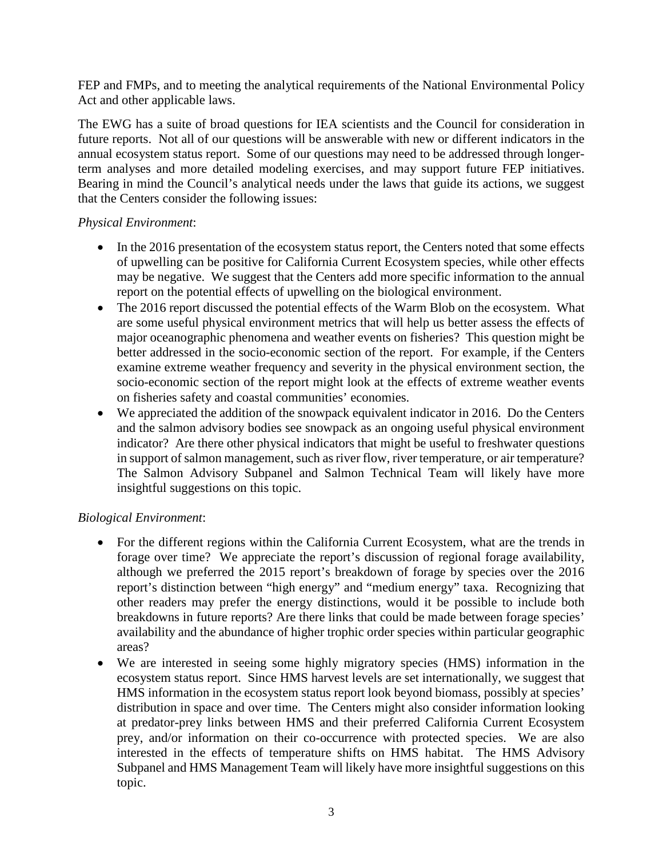FEP and FMPs, and to meeting the analytical requirements of the National Environmental Policy Act and other applicable laws.

The EWG has a suite of broad questions for IEA scientists and the Council for consideration in future reports. Not all of our questions will be answerable with new or different indicators in the annual ecosystem status report. Some of our questions may need to be addressed through longerterm analyses and more detailed modeling exercises, and may support future FEP initiatives. Bearing in mind the Council's analytical needs under the laws that guide its actions, we suggest that the Centers consider the following issues:

### *Physical Environment*:

- In the 2016 presentation of the ecosystem status report, the Centers noted that some effects of upwelling can be positive for California Current Ecosystem species, while other effects may be negative. We suggest that the Centers add more specific information to the annual report on the potential effects of upwelling on the biological environment.
- The 2016 report discussed the potential effects of the Warm Blob on the ecosystem. What are some useful physical environment metrics that will help us better assess the effects of major oceanographic phenomena and weather events on fisheries? This question might be better addressed in the socio-economic section of the report. For example, if the Centers examine extreme weather frequency and severity in the physical environment section, the socio-economic section of the report might look at the effects of extreme weather events on fisheries safety and coastal communities' economies.
- We appreciated the addition of the snowpack equivalent indicator in 2016. Do the Centers and the salmon advisory bodies see snowpack as an ongoing useful physical environment indicator? Are there other physical indicators that might be useful to freshwater questions in support of salmon management, such as river flow, river temperature, or air temperature? The Salmon Advisory Subpanel and Salmon Technical Team will likely have more insightful suggestions on this topic.

# *Biological Environment*:

- For the different regions within the California Current Ecosystem, what are the trends in forage over time? We appreciate the report's discussion of regional forage availability, although we preferred the 2015 report's breakdown of forage by species over the 2016 report's distinction between "high energy" and "medium energy" taxa. Recognizing that other readers may prefer the energy distinctions, would it be possible to include both breakdowns in future reports? Are there links that could be made between forage species' availability and the abundance of higher trophic order species within particular geographic areas?
- We are interested in seeing some highly migratory species (HMS) information in the ecosystem status report. Since HMS harvest levels are set internationally, we suggest that HMS information in the ecosystem status report look beyond biomass, possibly at species' distribution in space and over time. The Centers might also consider information looking at predator-prey links between HMS and their preferred California Current Ecosystem prey, and/or information on their co-occurrence with protected species. We are also interested in the effects of temperature shifts on HMS habitat. The HMS Advisory Subpanel and HMS Management Team will likely have more insightful suggestions on this topic.